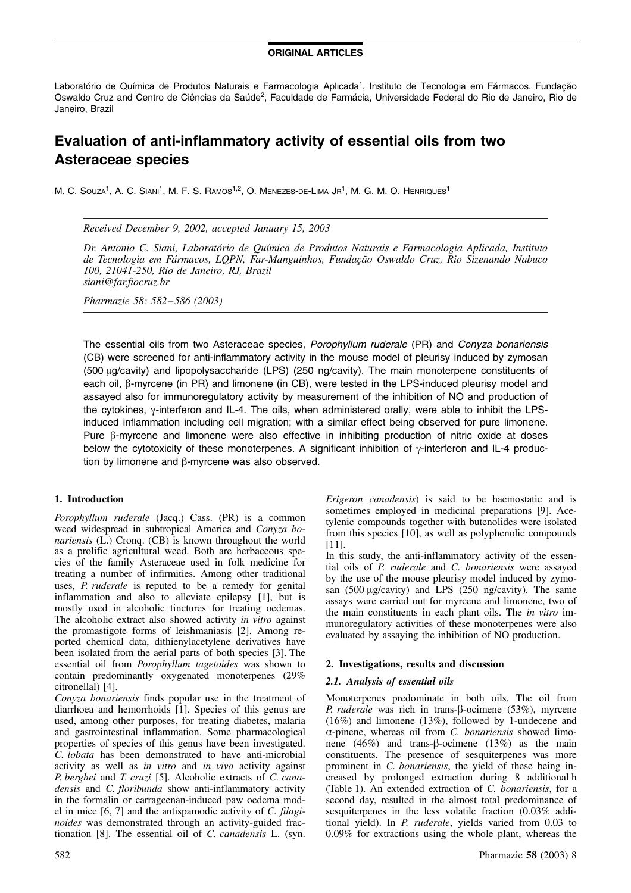### ORIGINAL ARTICLES

Laboratório de Química de Produtos Naturais e Farmacologia Aplicada<sup>1</sup>, Instituto de Tecnologia em Fármacos, Fundação Oswaldo Cruz and Centro de Ciências da Saúde<sup>2</sup>, Faculdade de Farmácia, Universidade Federal do Rio de Janeiro, Rio de Janeiro, Brazil

# Evaluation of anti-inflammatory activity of essential oils from two Asteraceae species

M. C. SOUZA<sup>1</sup>, A. C. SIANI<sup>1</sup>, M. F. S. RAMOS<sup>1,2</sup>, O. MENEZES-DE-LIMA JR<sup>1</sup>, M. G. M. O. HENRIQUES<sup>1</sup>

Received December 9, 2002, accepted January 15, 2003

Dr. Antonio C. Siani, Laboratório de Química de Produtos Naturais e Farmacologia Aplicada, Instituto de Tecnologia em Fármacos, LOPN, Far-Manguinhos, Fundação Oswaldo Cruz, Rio Sizenando Nabuco 100, 21041-250, Rio de Janeiro, RJ, Brazil siani@far.fiocruz.br

Pharmazie 58: 582–586 (2003)

The essential oils from two Asteraceae species, Porophyllum ruderale (PR) and Conyza bonariensis (CB) were screened for anti-inflammatory activity in the mouse model of pleurisy induced by zymosan (500 mg/cavity) and lipopolysaccharide (LPS) (250 ng/cavity). The main monoterpene constituents of each oil, β-myrcene (in PR) and limonene (in CB), were tested in the LPS-induced pleurisy model and assayed also for immunoregulatory activity by measurement of the inhibition of NO and production of the cytokines,  $\gamma$ -interferon and IL-4. The oils, when administered orally, were able to inhibit the LPSinduced inflammation including cell migration; with a similar effect being observed for pure limonene. Pure  $\beta$ -myrcene and limonene were also effective in inhibiting production of nitric oxide at doses below the cytotoxicity of these monoterpenes. A significant inhibition of  $\gamma$ -interferon and IL-4 production by limonene and  $\beta$ -myrcene was also observed.

### 1. Introduction

Porophyllum ruderale (Jacq.) Cass. (PR) is a common weed widespread in subtropical America and Conyza bonariensis (L.) Cronq. (CB) is known throughout the world as a prolific agricultural weed. Both are herbaceous species of the family Asteraceae used in folk medicine for treating a number of infirmities. Among other traditional uses, *P. ruderale* is reputed to be a remedy for genital inflammation and also to alleviate epilepsy [1], but is mostly used in alcoholic tinctures for treating oedemas. The alcoholic extract also showed activity in vitro against the promastigote forms of leishmaniasis [2]. Among reported chemical data, dithienylacetylene derivatives have been isolated from the aerial parts of both species [3]. The essential oil from Porophyllum tagetoides was shown to contain predominantly oxygenated monoterpenes (29% citronellal) [4].

Conyza bonariensis finds popular use in the treatment of diarrhoea and hemorrhoids [1]. Species of this genus are used, among other purposes, for treating diabetes, malaria and gastrointestinal inflammation. Some pharmacological properties of species of this genus have been investigated. C. lobata has been demonstrated to have anti-microbial activity as well as in vitro and in vivo activity against P. berghei and T. cruzi [5]. Alcoholic extracts of C. canadensis and C. floribunda show anti-inflammatory activity in the formalin or carrageenan-induced paw oedema model in mice [6, 7] and the antispamodic activity of C. filaginoides was demonstrated through an activity-guided fractionation [8]. The essential oil of C. canadensis L. (syn. Erigeron canadensis) is said to be haemostatic and is sometimes employed in medicinal preparations [9]. Acetylenic compounds together with butenolides were isolated from this species [10], as well as polyphenolic compounds [11].

In this study, the anti-inflammatory activity of the essential oils of P. ruderale and C. bonariensis were assayed by the use of the mouse pleurisy model induced by zymosan (500 mg/cavity) and LPS (250 ng/cavity). The same assays were carried out for myrcene and limonene, two of the main constituents in each plant oils. The in vitro immunoregulatory activities of these monoterpenes were also evaluated by assaying the inhibition of NO production.

### 2. Investigations, results and discussion

### 2.1. Analysis of essential oils

Monoterpenes predominate in both oils. The oil from P. ruderale was rich in trans- $\beta$ -ocimene (53%), myrcene (16%) and limonene (13%), followed by 1-undecene and  $\alpha$ -pinene, whereas oil from *C. bonariensis* showed limonene (46%) and trans- $\beta$ -ocimene (13%) as the main constituents. The presence of sesquiterpenes was more prominent in C. bonariensis, the yield of these being increased by prolonged extraction during 8 additional h (Table 1). An extended extraction of C. bonariensis, for a second day, resulted in the almost total predominance of sesquiterpenes in the less volatile fraction (0.03% additional yield). In P. ruderale, yields varied from 0.03 to 0.09% for extractions using the whole plant, whereas the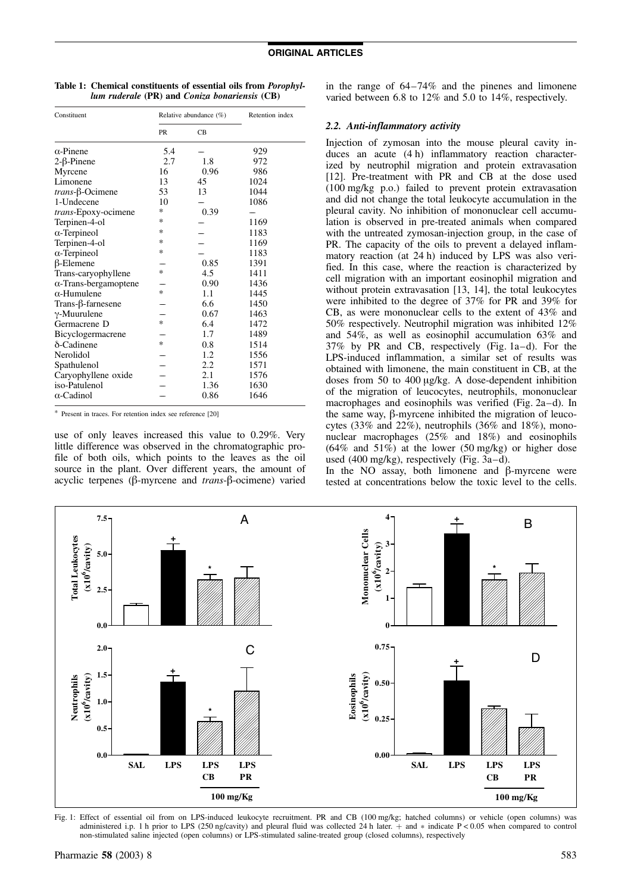| Table 1: Chemical constituents of essential oils from <i>Porophyl-</i> |
|------------------------------------------------------------------------|
| lum ruderale (PR) and Coniza bonariensis (CB)                          |

| Constituent                  |           | Relative abundance $(\%)$ | Retention index |  |  |  |
|------------------------------|-----------|---------------------------|-----------------|--|--|--|
|                              | <b>PR</b> | CB                        |                 |  |  |  |
| $\alpha$ -Pinene             | 5.4       |                           | 929             |  |  |  |
| $2-\beta$ -Pinene            | 2.7       | 1.8                       | 972             |  |  |  |
| Myrcene                      | 16        | 0.96                      | 986             |  |  |  |
| Limonene                     | 13        | 45                        | 1024            |  |  |  |
| $trans-\beta$ -Ocimene       | 53        | 13                        | 1044            |  |  |  |
| 1-Undecene                   | 10        |                           | 1086            |  |  |  |
| trans-Epoxy-ocimene          | ∗         | 0.39                      |                 |  |  |  |
| Terpinen-4-ol                | ∗         |                           | 1169            |  |  |  |
| $\alpha$ -Terpineol          | *         |                           | 1183            |  |  |  |
| Terpinen-4-ol                | ∗         |                           | 1169            |  |  |  |
| $\alpha$ -Terpineol          | ∗         |                           | 1183            |  |  |  |
| $\beta$ -Elemene             |           | 0.85                      | 1391            |  |  |  |
| Trans-caryophyllene          | *         | 4.5                       | 1411            |  |  |  |
| $\alpha$ -Trans-bergamoptene |           | 0.90                      | 1436            |  |  |  |
| $\alpha$ -Humulene           | $\ast$    | 1.1                       | 1445            |  |  |  |
| $Trans-\beta-farnesene$      |           | 6.6                       | 1450            |  |  |  |
| $\gamma$ -Muurulene          |           | 0.67                      | 1463            |  |  |  |
| Germacrene D                 | *         | 6.4                       | 1472            |  |  |  |
| Bicyclogermacrene            |           | 1.7                       | 1489            |  |  |  |
| $\delta$ -Cadinene           | *         | 0.8                       | 1514            |  |  |  |
| Nerolidol                    |           | 1.2                       | 1556            |  |  |  |
| Spathulenol                  |           | 2.2                       | 1571            |  |  |  |
| Caryophyllene oxide          |           | 2.1                       | 1576            |  |  |  |
| iso-Patulenol                |           | 1.36                      | 1630            |  |  |  |
| $\alpha$ -Cadinol            |           | 0.86                      | 1646            |  |  |  |

\* Present in traces. For retention index see reference [20]

use of only leaves increased this value to 0.29%. Very little difference was observed in the chromatographic profile of both oils, which points to the leaves as the oil source in the plant. Over different years, the amount of acyclic terpenes ( $\beta$ -myrcene and *trans*- $\beta$ -ocimene) varied in the range of 64–74% and the pinenes and limonene varied between 6.8 to 12% and 5.0 to 14%, respectively.

### 2.2. Anti-inflammatory activity

Injection of zymosan into the mouse pleural cavity induces an acute (4 h) inflammatory reaction characterized by neutrophil migration and protein extravasation [12]. Pre-treatment with PR and CB at the dose used (100 mg/kg p.o.) failed to prevent protein extravasation and did not change the total leukocyte accumulation in the pleural cavity. No inhibition of mononuclear cell accumulation is observed in pre-treated animals when compared with the untreated zymosan-injection group, in the case of PR. The capacity of the oils to prevent a delayed inflammatory reaction (at 24 h) induced by LPS was also verified. In this case, where the reaction is characterized by cell migration with an important eosinophil migration and without protein extravasation [13, 14], the total leukocytes were inhibited to the degree of 37% for PR and 39% for CB, as were mononuclear cells to the extent of 43% and 50% respectively. Neutrophil migration was inhibited 12% and 54%, as well as eosinophil accumulation 63% and 37% by PR and CB, respectively (Fig. 1a–d). For the LPS-induced inflammation, a similar set of results was obtained with limonene, the main constituent in CB, at the doses from 50 to 400 mg/kg. A dose-dependent inhibition of the migration of leucocytes, neutrophils, mononuclear macrophages and eosinophils was verified (Fig. 2a–d). In the same way,  $\beta$ -myrcene inhibited the migration of leucocytes (33% and 22%), neutrophils (36% and 18%), mononuclear macrophages (25% and 18%) and eosinophils  $(64\%$  and  $51\%)$  at the lower  $(50 \text{ mg/kg})$  or higher dose used (400 mg/kg), respectively (Fig. 3a–d).

In the  $NO$  assay, both limonene and  $\beta$ -myrcene were tested at concentrations below the toxic level to the cells.



Fig. 1: Effect of essential oil from on LPS-induced leukocyte recruitment. PR and CB (100 mg/kg; hatched columns) or vehicle (open columns) was administered i.p. 1 h prior to LPS (250 ng/cavity) and pleural fluid was collected 24 h later.  $+$  and  $*$  indicate P < 0.05 when compared to control non-stimulated saline injected (open columns) or LPS-stimulated saline-treated group (closed columns), respectively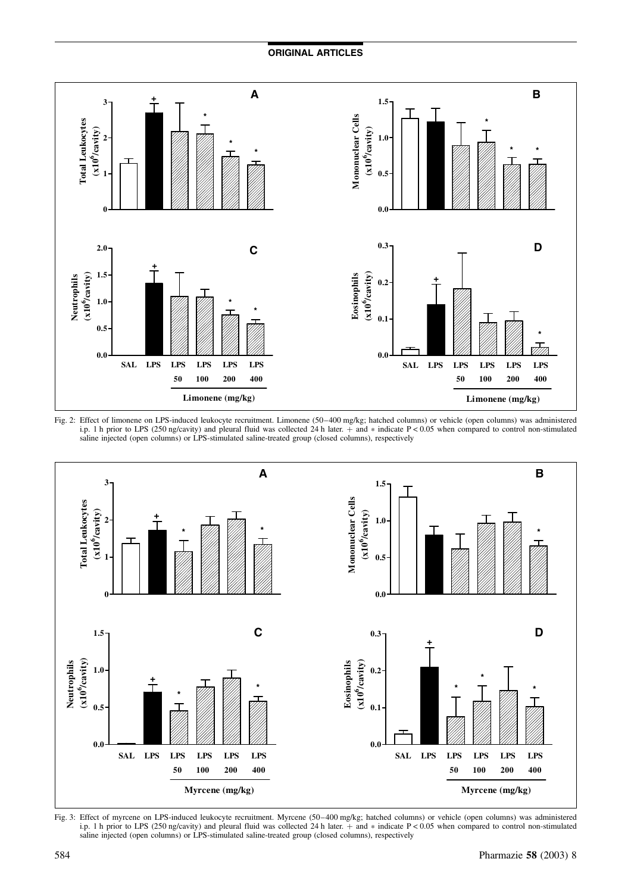## ORIGINAL ARTICLES







Fig. 3: Effect of myrcene on LPS-induced leukocyte recruitment. Myrcene (50–400 mg/kg; hatched columns) or vehicle (open columns) was administered i.p. 1 h prior to LPS (250 ng/cavity) and pleural fluid was collected 24 h later. + and \* indicate P < 0.05 when compared to control non-stimulated saline injected (open columns) or LPS-stimulated saline-treated group (closed columns), respectively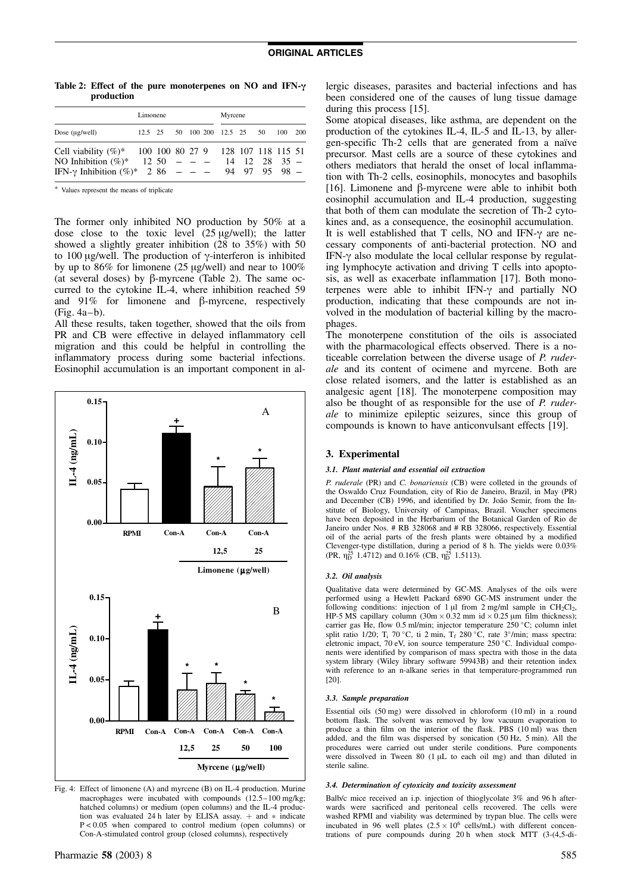Table 2: Effect of the pure monoterpenes on NO and IFN-*g* production

|                                                            | Limonene |         |  |  | Myrcene |                       |  |                                   |         |  |
|------------------------------------------------------------|----------|---------|--|--|---------|-----------------------|--|-----------------------------------|---------|--|
| Dose $(\mu g/well)$                                        |          | 12.5 25 |  |  |         | 50 100 200 12.5 25 50 |  |                                   | 100 200 |  |
| Cell viability $(\%)^*$ 100 100 80 27 9 128 107 118 115 51 |          |         |  |  |         |                       |  |                                   |         |  |
| NO Inhibition $(\%)^*$ 12 50 - - -                         |          |         |  |  |         |                       |  | $14 \quad 12 \quad 28 \quad 35 -$ |         |  |
| IFN-y Inhibition $(\%)^*$ 2 86 - - - 94 97 95 98 -         |          |         |  |  |         |                       |  |                                   |         |  |

\* Values represent the means of triplicate

The former only inhibited NO production by 50% at a dose close to the toxic level  $(25 \mu g/well)$ ; the latter showed a slightly greater inhibition (28 to 35%) with 50 to 100  $\mu$ g/well. The production of  $\gamma$ -interferon is inhibited by up to  $86\%$  for limonene (25 µg/well) and near to  $100\%$ (at several doses) by  $\beta$ -myrcene (Table 2). The same occurred to the cytokine IL-4, where inhibition reached 59 and  $91\%$  for limonene and  $\beta$ -myrcene, respectively (Fig. 4a–b).

All these results, taken together, showed that the oils from PR and CB were effective in delayed inflammatory cell migration and this could be helpful in controlling the inflammatory process during some bacterial infections. Eosinophil accumulation is an important component in al-



Fig. 4: Effect of limonene (A) and myrcene (B) on IL-4 production. Murine macrophages were incubated with compounds (12.5–100 mg/kg; hatched columns) or medium (open columns) and the IL-4 production was evaluated 24 h later by ELISA assay.  $+$  and  $*$  indicate  $P < 0.05$  when compared to control medium (open columns) or Con-A-stimulated control group (closed columns), respectively

lergic diseases, parasites and bacterial infections and has been considered one of the causes of lung tissue damage during this process [15].

Some atopical diseases, like asthma, are dependent on the production of the cytokines IL-4, IL-5 and IL-13, by allergen-specific Th-2 cells that are generated from a naïve precursor. Mast cells are a source of these cytokines and others mediators that herald the onset of local inflammation with Th-2 cells, eosinophils, monocytes and basophils [16]. Limonene and  $\beta$ -myrcene were able to inhibit both eosinophil accumulation and IL-4 production, suggesting that both of them can modulate the secretion of Th-2 cytokines and, as a consequence, the eosinophil accumulation. It is well established that  $T$  cells, NO and IFN- $\gamma$  are necessary components of anti-bacterial protection. NO and  $IFN-\gamma$  also modulate the local cellular response by regulating lymphocyte activation and driving T cells into apoptosis, as well as exacerbate inflammation [17]. Both monoterpenes were able to inhibit IFN- $\gamma$  and partially NO production, indicating that these compounds are not involved in the modulation of bacterial killing by the macrophages.

The monoterpene constitution of the oils is associated with the pharmacological effects observed. There is a noticeable correlation between the diverse usage of P. ruderale and its content of ocimene and myrcene. Both are close related isomers, and the latter is established as an analgesic agent [18]. The monoterpene composition may also be thought of as responsible for the use of P. ruderale to minimize epileptic seizures, since this group of compounds is known to have anticonvulsant effects [19].

### 3. Experimental

#### 3.1. Plant material and essential oil extraction

P. ruderale (PR) and C. bonariensis (CB) were colleted in the grounds of the Oswaldo Cruz Foundation, city of Rio de Janeiro, Brazil, in May (PR) and December (CB) 1996, and identified by Dr. João Semir, from the Institute of Biology, University of Campinas, Brazil. Voucher specimens have been deposited in the Herbarium of the Botanical Garden of Rio de Janeiro under Nos. # RB 328068 and # RB 328066, respectively. Essential oil of the aerial parts of the fresh plants were obtained by a modified Clevenger-type distillation, during a period of 8 h. The yields were 0.03% (PR,  $\eta_{\rm D}^{25}$  1.4712) and 0.16% (CB,  $\eta_{\rm D}^{25}$  1.5113).

#### 3.2. Oil analysis

Qualitative data were determined by GC-MS. Analyses of the oils were performed using a Hewlett Packard 6890 GC-MS instrument under the following conditions: injection of 1  $\mu$ l from 2 mg/ml sample in CH<sub>2</sub>Cl<sub>2</sub>, HP-5 MS capillary column  $(30 \text{m} \times 0.32 \text{ mm})$  id  $\times 0.25 \text{ µm}$  film thickness); carrier gas He, flow 0.5 ml/min; injector temperature  $250^{\circ}$ C; column inlet split ratio 1/20; T<sub>i</sub> 70 °C, ti 2 min, T<sub>f</sub> 280 °C, rate 3°/min; mass spectra: eletronic impact, 70 eV, ion source temperature 250 °C. Individual components were identified by comparison of mass spectra with those in the data system library (Wiley library software 59943B) and their retention index with reference to an n-alkane series in that temperature-programmed run [20].

#### 3.3. Sample preparation

Essential oils (50 mg) were dissolved in chloroform (10 ml) in a round bottom flask. The solvent was removed by low vacuum evaporation to produce a thin film on the interior of the flask. PBS (10 ml) was then added, and the film was dispersed by sonication (50 Hz, 5 min). All the procedures were carried out under sterile conditions. Pure components were dissolved in Tween 80  $(1 \mu L)$  to each oil mg) and than diluted in sterile saline.

### 3.4. Determination of cytoxicity and toxicity assessment

Balb/c mice received an i.p. injection of thioglycolate 3% and 96 h afterwards were sacrificed and peritoneal cells recovered. The cells were washed RPMI and viability was determined by trypan blue. The cells were<br>incubated in 96 well plates  $(2.5 \times 10^6 \text{ cells/mL})$  with different concentrations of pure compounds during 20 h when stock MTT (3-(4,5-di